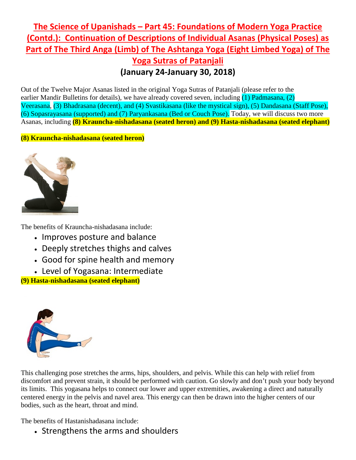## **The Science of Upanishads – Part 45: Foundations of Modern Yoga Practice (Contd.): Continuation of Descriptions of Individual Asanas (Physical Poses) as Part of The Third Anga (Limb) of The Ashtanga Yoga (Eight Limbed Yoga) of The Yoga Sutras of Patanjali (January 24-January 30, 2018)**

Out of the Twelve Major Asanas listed in the original Yoga Sutras of Patanjali (please refer to the earlier Mandir Bulletins for details), we have already covered seven, including (1) Padmasana, (2) Veerasana, (3) Bhadrasana (decent), and (4) Svastikasana (like the mystical sign), (5) Dandasana (Staff Pose), (6) Sopasrayasana (supported) and (7) Paryankasana (Bed or Couch Pose). Today, we will discuss two more Asanas, including **(8) Krauncha-nishadasana (seated heron) and (9) Hasta-nishadasana (seated elephant)**

## **(8) Krauncha-nishadasana (seated heron)**



The benefits of Krauncha-nishadasana include:

- Improves posture and balance
- Deeply stretches thighs and calves
- Good for spine health and memory
- Level of Yogasana: Intermediate

**(9) Hasta-nishadasana (seated elephant)**



This challenging pose stretches the arms, hips, shoulders, and pelvis. While this can help with relief from discomfort and prevent strain, it should be performed with caution. Go slowly and don't push your body beyond its limits. This yogasana helps to connect our lower and upper extremities, awakening a direct and naturally centered energy in the pelvis and navel area. This energy can then be drawn into the higher centers of our bodies, such as the heart, throat and mind.

The benefits of Hastanishadasana include:

• Strengthens the arms and shoulders